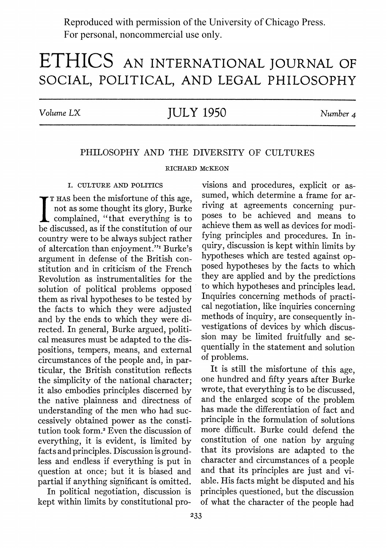Reproduced with permission of the University of Chicago Press. For personal, noncommercial use only.

# **ETHICS AN INTERNATIONAL JOURNAL OF SOCIAL, POLITICAL, AND LEGAL PHILOSOPHY**

# **Volume LX JULY 1950 Number4**

## **PHILOSOPHY AND THE DIVERSITY OF CULTURES**

#### **RICHARD McKEON**

#### **I. CULTURE AND POLITICS**

**IT HAS been the misfortune of this age, not as some thought its glory, Burke complained, "that everything is to be discussed, as if the constitution of our country were to be always subject rather of altercation than enjoyment."' Burke's argument in defense of the British constitution and in criticism of the French Revolution as instrumentalities for the solution of political problems opposed them as rival hypotheses to be tested by the facts to which they were adjusted and by the ends to which they were directed. In general, Burke argued, political measures must be adapted to the dispositions, tempers, means, and external circumstances of the people and, in particular, the British constitution reflects the simplicity of the national character; it also embodies principles discerned by the native plainness and directness of understanding of the men who had successively obtained power as the constitution took form.2 Even the discussion of everything, it is evident, is limited by facts and principles. Discussion is groundless and endless if everything is put in question at once; but it is biased and partial if anything significant is omitted.** 

**In political negotiation, discussion is kept within limits by constitutional pro-** **visions and procedures, explicit or assumed, which determine a frame for arriving at agreements concerning purposes to be achieved and means to achieve them as well as devices for modifying principles and procedures. In inquiry, discussion is kept within limits by hypotheses which are tested against opposed hypotheses by the facts to which they are applied and by the predictions to which hypotheses and principles lead. Inquiries concerning methods of practical negotiation, like inquiries concerning methods of inquiry, are consequently investigations of devices by which discussion may be limited fruitfully and sequentially in the statement and solution of problems.** 

**It is still the misfortune of this age, one hundred and fifty years after Burke wrote, that everything is to be discussed, and the enlarged scope of the problem has made the differentiation of fact and principle in the formulation of solutions more difficult. Burke could defend the constitution of one nation by arguing that its provisions are adapted to the character and circumstances of a people and that its principles are just and viable. His facts might be disputed and his principles questioned, but the discussion of what the character of the people had**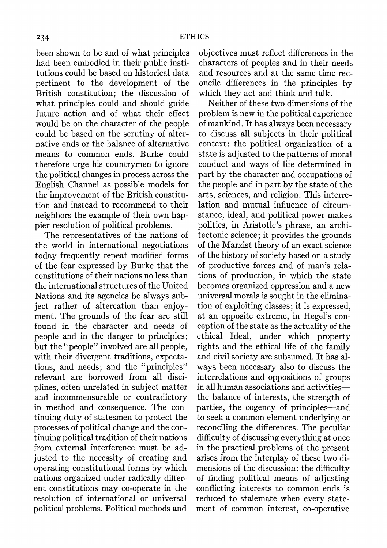**been shown to be and of what principles had been embodied in their public institutions could be based on historical data pertinent to the development of the British constitution; the discussion of what principles could and should guide future action and of what their effect would be on the character of the people could be based on the scrutiny of alternative ends or the balance of alternative means to common ends. Burke could therefore urge his countrymen to ignore the political changes in process across the English Channel as possible models for the improvement of the British constitution and instead to recommend to their neighbors the example of their own happier resolution of political problems.** 

**The representatives of the nations of the world in international negotiations today frequently repeat modified forms of the fear expressed by Burke that the constitutions of their nations no less than the international structures of the United Nations and its agencies be always subject rather of altercation than enjoyment. The grounds of the fear are still found in the character and needs of people and in the danger to principles; but the "people" involved are all people, with their divergent traditions, expectations, and needs; and the "principles" relevant are borrowed from all disciplines, often unrelated in subject matter and incommensurable or contradictory in method and consequence. The continuing duty of statesmen to protect the processes of political change and the continuing political tradition of their nations from external interference must be adjusted to the necessity of creating and operating constitutional forms by which nations organized under radically different constitutions may co-operate in the resolution of international or universal political problems. Political methods and** 

**objectives must reflect differences in the characters of peoples and in their needs and resources and at the same time reconcile differences in the principles by which they act and think and talk.** 

**Neither of these two dimensions of the problem is new in the political experience of mankind. It has always been necessary to discuss all subjects in their political context: the political organization of a state is adjusted to the patterns of moral conduct and ways of life determined in part by the character and occupations of the people and in part by the state of the arts, sciences, and religion. This interrelation and mutual influence of circumstance, ideal, and political power makes politics, in Aristotle's phrase, an architectonic science; it provides the grounds of the Marxist theory of an exact science of the history of society based on a study of productive forces and of man's relations of production, in which the state becomes organized oppression and a new universal morals is sought in the elimination of exploiting classes; it is expressed, at an opposite extreme, in Hegel's conception of the state as the actuality of the ethical Ideal, under which property rights and the ethical life of the family and civil society are subsumed. It has always been necessary also to discuss the interrelations and oppositions of groups in all human associations and activitiesthe balance of interests, the strength of parties, the cogency of principles-and to seek a common element underlying or reconciling the differences. The peculiar difficulty of discussing everything at once in the practical problems of the present arises from the interplay of these two dimensions of the discussion: the difficulty of finding political means of adjusting conflicting interests to common ends is reduced to stalemate when every statement of common interest, co-operative**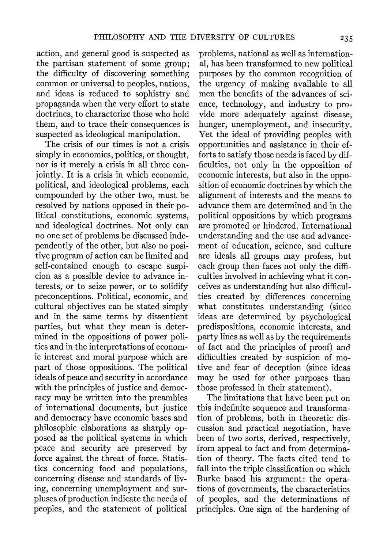**action, and general good is suspected as the partisan statement of some group; the difficulty of discovering something common or universal to peoples, nations, and ideas is reduced to sophistry and propaganda when the very effort to state doctrines, to characterize those who hold them, and to trace their consequences is suspected as ideological manipulation.** 

**The crisis of our times is not a crisis simply in economics, politics, or thought, nor is it merely a crisis in all three conjointly. It is a crisis in which economic, political, and ideological problems, each compounded by the other two, must be resolved by nations opposed in their political constitutions, economic systems, and ideological doctrines. Not only can no one set of problems be discussed independently of the other, but also no positive program of action can be limited and self-contained enough to escape suspicion as a possible device to advance interests, or to seize power, or to solidify preconceptions. Political, economic, and cultural objectives can be stated simply and in the same terms by dissentient parties, but what they mean is determined in the oppositions of power politics and in the interpretations of economic interest and moral purpose which are part of those oppositions. The political ideals of peace and security in accordance with the principles of justice and democracy may be written into the preambles of international documents, but justice and democracy have economic bases and philosophic elaborations as sharply opposed as the political systems in which peace and security are preserved by force against the threat of force. Statistics concerning food and populations, concerning disease and standards of living, concerning unemployment and surpluses of production indicate the needs of peoples, and the statement of political** 

**problems, national as well as international, has been transformed to new political purposes by the common recognition of the urgency of making available to all men the benefits of the advances of science, technology, and industry to provide more adequately against disease, hunger, unemployment, and insecurity. Yet the ideal of providing peoples with opportunities and assistance in their efforts to satisfy those needs is faced by difficulties, not only in the opposition of economic interests, but also in the opposition of economic doctrines by which the alignment of interests and the means to advance them are determined and in the political oppositions by which programs are promoted or hindered. International understanding and the use and advancement of education, science, and culture are ideals all groups may profess, but each group then faces not only the difficulties involved in achieving what it conceives as understanding but also difficulties created by differences concerning what constitutes understanding (since ideas are determined by psychological predispositions, economic interests, and party lines as well as by the requirements of fact and the principles of proof) and difficulties created by suspicion of motive and fear of deception (since ideas may be used for other purposes than those professed in their statement).** 

**The limitations that have been put on this indefinite sequence and transformation of problems, both in theoretic discussion and practical negotiation, have been of two sorts, derived, respectively, from appeal to fact and from determination of theory. The facts cited tend to fall into the triple classification on which Burke based his argument: the operations of governments, the characteristics of peoples, and the determinations of principles. One sign of the hardening of**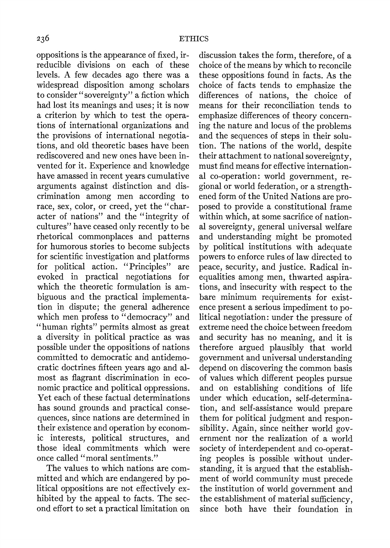**oppositions is the appearance of fixed, irreducible divisions on each of these levels. A few decades ago there was a widespread disposition among scholars to consider " sovereignty" a fiction which had lost its meanings and uses; it is now a criterion by which to test the operations of international organizations and the provisions of international negotiations, and old theoretic bases have been rediscovered and new ones have been invented for it. Experience and knowledge have amassed in recent years cumulative arguments against distinction and discrimination among men according to race, sex, color, or creed, yet the "character of nations" and the "integrity of cultures" have ceased only recently to be rhetorical commonplaces and patterns for humorous stories to become subjects for scientific investigation and platforms**  for political action. "Principles" **evoked in practical negotiations for which the theoretic formulation is ambiguous and the practical implementation in dispute; the general adherence which men profess to "democracy" and "human rights" permits almost as great a diversity in political practice as was possible under the oppositions of nations committed to democratic and antidemocratic doctrines fifteen years ago and almost as flagrant discrimination in economic practice and political oppressions. Yet each of these factual determinations has sound grounds and practical consequences, since nations are determined in their existence and operation by economic interests, political structures, and those ideal commitments which were once called "moral sentiments."** 

**The values to which nations are committed and which are endangered by political oppositions are not effectively exhibited by the appeal to facts. The second effort to set a practical limitation on** 

**discussion takes the form, therefore, of a choice of the means by which to reconcile these oppositions found in facts. As the choice of facts tends to emphasize the differences of nations, the choice of means for their reconciliation tends to emphasize differences of theory concerning the nature and locus of the problems and the sequences of steps in their solution. The nations of the world, despite their attachment to national sovereignty, must find means for effective international co-operation: world government, regional or world federation, or a strengthened form of the United Nations are proposed to provide a constitutional frame within which, at some sacrifice of national sovereignty, general universal welfare and understanding might be promoted by political institutions with adequate powers to enforce rules of law directed to peace, security, and justice. Radical inequalities among men, thwarted aspirations, and insecurity with respect to the bare minimum requirements for existence present a serious impediment to political negotiation: under the pressure of extreme need the choice between freedom and security has no meaning, and it is therefore argued plausibly that world government and universal understanding depend on discovering the common basis of values which different peoples pursue and on establishing conditions of life under which education, self-determination, and self-assistance would prepare them for political judgment and responsibility. Again, since neither world government nor the realization of a world society of interdependent and co-operating peoples is possible without understanding, it is argued that the establishment of world community must precede the institution of world government and the establishment of material sufficiency, since both have their foundation in**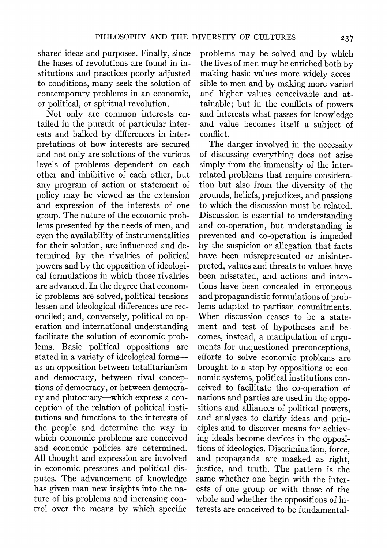**shared ideas and purposes. Finally, since the bases of revolutions are found in institutions and practices poorly adjusted to conditions, many seek the solution of contemporary problems in an economic, or political, or spiritual revolution.** 

**Not only are common interests entailed in the pursuit of particular interests and balked by differences in interpretations of how interests are secured and not only are solutions of the various levels of problems dependent on each other and inhibitive of each other, but any program of action or statement of policy may be viewed as the extension and expression of the interests of one group. The nature of the economic problems presented by the needs of men, and even the availability of instrumentalities for their solution, are influenced and determined by the rivalries of political powers and by the opposition of ideological formulations in which those rivalries are advanced. In the degree that economic problems are solved, political tensions lessen and ideological differences are reconciled; and, conversely, political co-operation and international understanding facilitate the solution of economic problems. Basic political oppositions are stated in a variety of ideological formsas an opposition between totalitarianism and democracy, between rival conceptions of democracy, or between democracy and plutocracy-which express a conception of the relation of political institutions and functions to the interests of the people and determine the way in which economic problems are conceived and economic policies are determined. All thought and expression are involved in economic pressures and political disputes. The advancement of knowledge has given man new insights into the nature of his problems and increasing control over the means by which specific** 

**problems may be solved and by which the lives of men may be enriched both by making basic values more widely accessible to men and by making more varied and higher values conceivable and attainable; but in the conflicts of powers and interests what passes for knowledge and value becomes itself a subject of conflict.** 

**The danger involved in the necessity of discussing everything does not arise simply from the immensity of the interrelated problems that require consideration but also from the diversity of the grounds, beliefs, prejudices, and passions to which the discussion must be related. Discussion is essential to understanding and co-operation, but understanding is prevented and co-operation is impeded by the suspicion or allegation that facts have been misrepresented or misinterpreted, values and threats to values have been misstated, and actions and intentions have been concealed in erroneous and propagandistic formulations of problems adapted to partisan commitments. When discussion ceases to be a statement and test of hypotheses and becomes, instead, a manipulation of arguments for unquestioned preconceptions, efforts to solve economic problems are brought to a stop by oppositions of economic systems, political institutions conceived to facilitate the co-operation of nations and parties are used in the oppositions and alliances of political powers, and analyses to clarify ideas and principles and to discover means for achieving ideals become devices in the oppositions of ideologies. Discrimination, force, and propaganda are masked as right, justice, and truth. The pattern is the same whether one begin with the interests of one group or with those of the whole and whether the oppositions of interests are conceived to be fundamental-**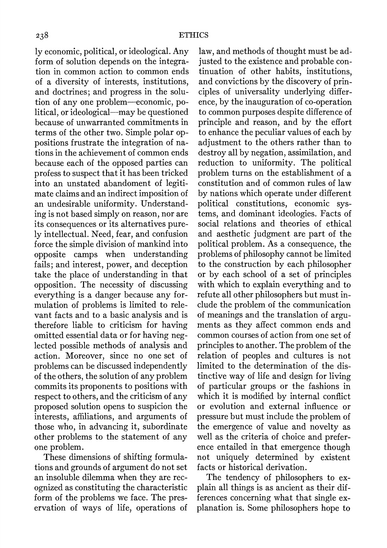**ly economic, political, or ideological. Any form of solution depends on the integration in common action to common ends of a diversity of interests, institutions, and doctrines; and progress in the solution of any one problem-economic, political, or ideological-may be questioned because of unwarranted commitments in terms of the other two. Simple polar oppositions frustrate the integration of nations in the achievement of common ends because each of the opposed parties can profess to suspect that it has been tricked into an unstated abandoment of legitimate claims and an indirect imposition of an undesirable uniformity. Understanding is not based simply on reason, nor are its consequences or its alternatives purely intellectual. Need, fear, and confusion force the simple division of mankind into opposite camps when understanding fails; and interest, power, and deception take the place of understanding in that opposition. The necessity of discussing everything is a danger because any formulation of problems is limited to relevant facts and to a basic analysis and is therefore liable to criticism for having omitted essential data or for having neglected possible methods of analysis and action. Moreover, since no one set of problems can be discussed independently of the others, the solution of any problem commits its proponents to positions with respect to others, and the criticism of any proposed solution opens to suspicion the interests, affiliations, and arguments of those who, in advancing it, subordinate other problems to the statement of any one problem.** 

**These dimensions of shifting formulations and grounds of argument do not set an insoluble dilemma when they are recognized as constituting the characteristic form of the problems we face. The preservation of ways of life, operations of** 

**law, and methods of thought must be adjusted to the existence and probable continuation of other habits, institutions, and convictions by the discovery of principles of universality underlying difference, by the inauguration of co-operation to common purposes despite difference of principle and reason, and by the effort to enhance the peculiar values of each by adjustment to the others rather than to destroy all by negation, assimilation, and reduction to uniformity. The political problem turns on the establishment of a constitution and of common rules of law by nations which operate under different political constitutions, economic systems, and dominant ideologies. Facts of social relations and theories of ethical and aesthetic judgment are part of the political problem. As a consequence, the problems of philosophy cannot be limited to the construction by each philosopher or by each school of a set of principles with which to explain everything and to refute all other philosophers but must include the problem of the communication of meanings and the translation of arguments as they affect common ends and common courses of action from one set of principles to another. The problem of the relation of peoples and cultures is not limited to the determination of the distinctive way of life and design for living of particular groups or the fashions in which it is modified by internal conflict or evolution and external influence or pressure but must include the problem of the emergence of value and novelty as well as the criteria of choice and preference entailed in that emergence though not uniquely determined by existent facts or historical derivation.** 

**The tendency of philosophers to explain all things is as ancient as their differences concerning what that single explanation is. Some philosophers hope to**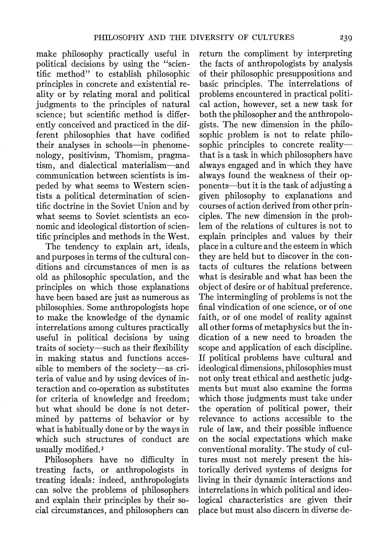**make philosophy practically useful in political decisions by using the "scientific method" to establish philosophic principles in concrete and existential reality or by relating moral and political judgments to the principles of natural science; but scientific method is differently conceived and practiced in the different philosophies that have codified their analyses in schools-in phenomenology, positivism, Thomism, pragmatism, and dialectical materialism-and communication between scientists is impeded by what seems to Western scientists a political determination of scientific doctrine in the Soviet Union and by what seems to Soviet scientists an economic and ideological distortion of scientific principles and methods in the West.** 

**The tendency to explain art, ideals, and purposes in terms of the cultural conditions and circumstances of men is as old as philosophic speculation, and the principles on which those explanations have been based are just as numerous as philosophies. Some anthropologists hope to make the knowledge of the dynamic interrelations among cultures practically useful in political decisions by using traits of society-such as their flexibility in making status and functions acces**sible to members of the society-as cri**teria of value and by using devices of interaction and co-operation as substitutes for criteria of knowledge and freedom; but what should be done is not determined by patterns of behavior or by what is habitually done or by the ways in which such structures of conduct are usually modified.3** 

**Philosophers have no difficulty in treating facts, or anthropologists in treating ideals: indeed, anthropologists can solve the problems of philosophers and explain their principles by their social circumstances, and philosophers can** 

**return the compliment by interpreting the facts of anthropologists by analysis of their philosophic presuppositions and basic principles. The interrelations of problems encountered in practical political action, however, set a new task for both the philosopher and the anthropologists. The new dimension in the philosophic problem is not to relate philosophic principles to concrete realitythat is a task in which philosophers have always engaged and in which they have always found the weakness of their opponents-but it is the task of adjusting a given philosophy to explanations and courses of action derived from other principles. The new dimension in the problem of the relations of cultures is not to explain principles and values by their place in a culture and the esteem in which they are held but to discover in the contacts of cultures the relations between what is desirable and what has been the object of desire or of habitual preference. The intermingling of problems is not the final vindication of one science, or of one faith, or of one model of reality against all other forms of metaphysics but the indication of a new need to broaden the scope and application of each discipline. If political problems have cultural and ideological dimensions, philosophies must not only treat ethical and aesthetic judgments but must also examine the forms which those judgments must take under the operation of political power, their relevance to actions accessible to the rule of law, and their possible influence on the social expectations which make conventional morality. The study of cultures must not merely present the historically derived systems of designs for living in their dynamic interactions and interrelations in which political and ideological characteristics are given their place but must also discern in diverse de-**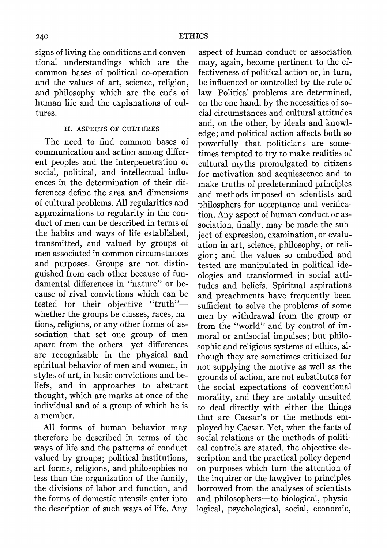**signs of living the conditions and conventional understandings which are the common bases of political co-operation and the values of art, science, religion, and philosophy which are the ends of human life and the explanations of cultures.** 

### **II. ASPECTS OF CULTURES**

**The need to find common bases of communication and action among different peoples and the interpenetration of social, political, and intellectual influences in the determination of their differences define the area and dimensions of cultural problems. All regularities and approximations to regularity in the conduct of men can be described in terms of the habits and ways of life established, transmitted, and valued by groups of men associated in common circumstances and purposes. Groups are not distinguished from each other because of fundamental differences in "nature" or because of rival convictions which can be tested for their objective "truth" whether the groups be classes, races, nations, religions, or any other forms of association that set one group of men apart from the others-yet differences are recognizable in the physical and spiritual behavior of men and women, in styles of art, in basic convictions and beliefs, and in approaches to abstract thought, which are marks at once of the individual and of a group of which he is a member.** 

**All forms of human behavior may therefore be described in terms of the ways of life and the patterns of conduct valued by groups; political institutions, art forms, religions, and philosophies no less than the organization of the family, the divisions of labor and function, and the forms of domestic utensils enter into the description of such ways of life. Any** 

**aspect of human conduct or association may, again, become pertinent to the effectiveness of political action or, in turn, be influenced or controlled by the rule of law. Political problems are determined, on the one hand, by the necessities of social circumstances and cultural attitudes and, on the other, by ideals and knowledge; and political action affects both so powerfully that politicians are sometimes tempted to try to make realities of cultural myths promulgated to citizens for motivation and acquiescence and to make truths of predetermined principles and methods imposed on scientists and philosphers for acceptance and verification. Any aspect of human conduct or association, finally, may be made the subject of expression, examination, or evaluation in art, science, philosophy, or religion; and the values so embodied and tested are manipulated in political ideologies and transformed in social attitudes and beliefs. Spiritual aspirations and preachments have frequently been sufficient to solve the problems of some men by withdrawal from the group or from the "world" and by control of immoral or antisocial impulses; but philosophic and religious systems of ethics, although they are sometimes criticized for not supplying the motive as well as the grounds of action, are not substitutes for the social expectations of conventional morality, and they are notably unsuited to deal directly with either the things that are Caesar's or the methods employed by Caesar. Yet, when the facts of social relations or the methods of political controls are stated, the objective description and the practical policy depend on purposes which turn the attention of the inquirer or the lawgiver to principles borrowed from the analyses of scientists**  and philosophers—to biological, physio**logical, psychological, social, economic,**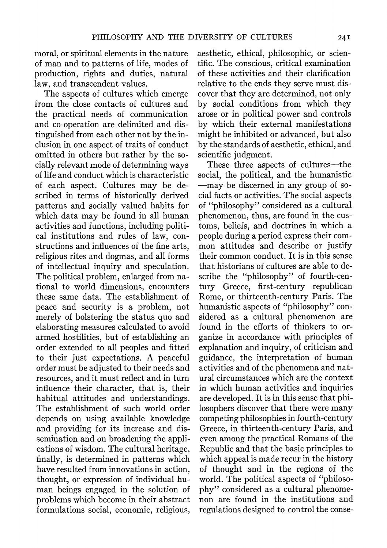**moral, or spiritual elements in the nature of man and to patterns of life, modes of production, rights and duties, natural law, and transcendent values.** 

**The aspects of cultures which emerge from the close contacts of cultures and the practical needs of communication and co-operation are delimited and distinguished from each other not by the inclusion in one aspect of traits of conduct omitted in others but rather by the socially relevant mode of determining ways of life and conduct which is characteristic of each aspect. Cultures may be described in terms of historically derived patterns and socially valued habits for which data may be found in all human activities and functions, including political institutions and rules of law, constructions and influences of the fine arts, religious rites and dogmas, and all forms of intellectual inquiry and speculation. The political problem, enlarged from national to world dimensions, encounters these same data. The establishment of peace and security is a problem, not merely of bolstering the status quo and elaborating measures calculated to avoid armed hostilities, but of establishing an order extended to all peoples and fitted to their just expectations. A peaceful order must be adjusted to their needs and resources, and it must reflect and in turn influence their character, that is, their habitual attitudes and understandings. The establishment of such world order depends on using available knowledge and providing for its increase and dissemination and on broadening the applications of wisdom. The cultural heritage, finally, is determined in patterns which have resulted from innovations in action, thought, or expression of individual human beings engaged in the solution of problems which become in their abstract formulations social, economic, religious,** 

**aesthetic, ethical, philosophic, or scientific. The conscious, critical examination of these activities and their clarification relative to the ends they serve must discover that they are determined, not only by social conditions from which they arose or in political power and controls by which their external manifestations might be inhibited or advanced, but also by the standards of aesthetic, ethical, and scientific judgment.** 

**These three aspects of cultures-the social, the political, and the humanistic -may be discerned in any group of social facts or activities. The social aspects of "philosophy" considered as a cultural phenomenon, thus, are found in the customs, beliefs, and doctrines in which a people during a period express their common attitudes and describe or justify their common conduct. It is in this sense that historians of cultures are able to describe the "philosophy" of fourth-century Greece, first-century republican Rome, or thirteenth-century Paris. The humanistic aspects of "philosophy" considered as a cultural phenomenon are found in the efforts of thinkers to organize in accordance with principles of explanation and inquiry, of criticism and guidance, the interpretation of human activities and of the phenomena and natural circumstances which are the context in which human activities and inquiries are developed. It is in this sense that philosophers discover that there were many competing philosophies in fourth-century Greece, in thirteenth-century Paris, and even among the practical Romans of the Republic and that the basic principles to which appeal is made recur in the history of thought and in the regions of the world. The political aspects of "philosophy" considered as a cultural phenomenon are found in the institutions and regulations designed to control the conse-**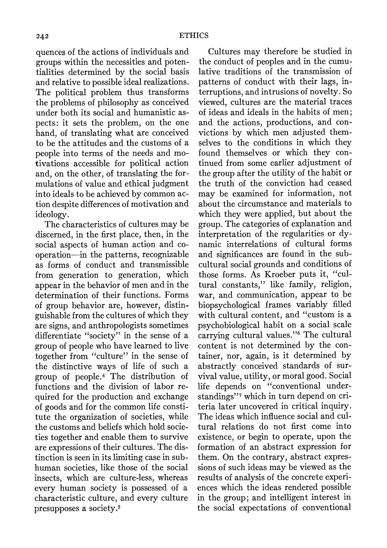**quences of the actions of individuals and groups within the necessities and potentialities determined by the social basis and relative to possible ideal realizations. The political problem thus transforms the problems of philosophy as conceived under both its social and humanistic aspects: it sets the problem, on the one hand, of translating what are conceived to be the attitudes and the customs of a people into terms of the needs and motivations accessible for political action and, on the other, of translating the formulations of value and ethical judgment into ideals to be achieved by common action despite differences of motivation and ideology.** 

**The characteristics of cultures may be discerned, in the first place, then, in the social aspects of human action and cooperation-in the patterns, recognizable as forms of conduct and transmissible from generation to generation, which appear in the behavior of men and in the determination of their functions. Forms of group behavior are, however, distinguishable from the cultures of which they are signs, and anthropologists sometimes differentiate "society" in the sense of a group of people who have learned to live together from "culture" in the sense of the distinctive ways of life of such a group of people.4 The distribution of functions and the division of labor required for the production and exchange of goods and for the common life constitute the organization of societies, while the customs and beliefs which hold societies together and enable them to survive are expressions of their cultures. The distinction is seen in its limiting case in subhuman societies, like those of the social insects, which are culture-less, whereas every human society is possessed of a characteristic culture, and every culture presupposes a society.5** 

**Cultures may therefore be studied in the conduct of peoples and in the cumulative traditions of the transmission of patterns of conduct with their lags, interruptions, and intrusions of novelty. So viewed, cultures are the material traces of ideas and ideals in the habits of men; and the actions, productions, and convictions by which men adjusted themselves to the conditions in which they found themselves or which they continued from some earlier adjustment of the group after the utility of the habit or the truth of the conviction had ceased may be examined for information, not about the circumstance and materials to which they were applied, but about the group. The categories of explanation and interpretation of the regularities or dynamic interrelations of cultural forms and significances are found in the subcultural social grounds and conditions of those forms. As Kroeber puts it, "cultural constants," like family, religion, war, and communication, appear to be biopsychological frames variably filled with cultural content, and "custom is a psychobiological habit on a social scale carrying cultural values."6 The cultural content is not determined by the container, nor, again, is it determined by abstractly conceived standards of survival value, utility, or moral good. Social life depends on "conventional under**standings"<sup>7</sup> which in turn depend on cri**teria later uncovered in critical inquiry. The ideas which influence social and cultural relations do not first come into existence, or begin to operate, upon the formation of an abstract expression for them. On the contrary, abstract expressions of such ideas may be viewed as the results of analysis of the concrete experiences which the ideas rendered possible in the group; and intelligent interest in the social expectations of conventional**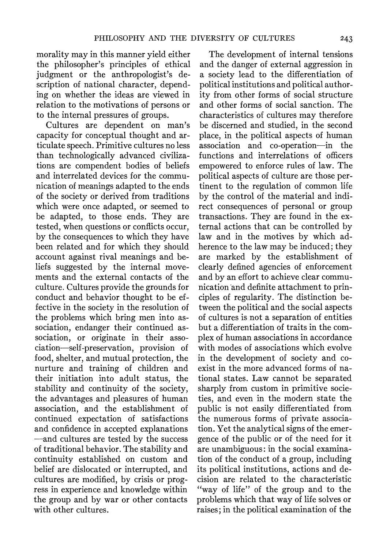**morality may in this manner yield either the philosopher's principles of ethical judgment or the anthropologist's description of national character, depending on whether the ideas are viewed in relation to the motivations of persons or to the internal pressures of groups.** 

**Cultures are dependent on man's capacity for conceptual thought and articulate speech. Primitive cultures no less than technologically advanced civilizations are compendent bodies of beliefs and interrelated devices for the communication of meanings adapted to the ends of the society or derived from traditions which were once adapted, or seemed to be adapted, to those ends. They are tested, when questions or conflicts occur, by the consequences to which they have been related and for which they should account against rival meanings and beliefs suggested by the internal movements and the external contacts of the culture. Cultures provide the grounds for conduct and behavior thought to be effective in the society in the resolution of the problems which bring men into association, endanger their continued association, or originate in their association-self-preservation, provision of food, shelter, and mutual protection, the nurture and training of children and their initiation into adult status, the stability and continuity of the society, the advantages and pleasures of human association, and the establishment of continued expectation of satisfactions and confidence in accepted explanations -and cultures are tested by the success of traditional behavior. The stability and continuity established on custom and belief are dislocated or interrupted, and cultures are modified, by crisis or progress in experience and knowledge within the group and by war or other contacts with other cultures.** 

**The development of internal tensions and the danger of external aggression in a society lead to the differentiation of political institutions and political authority from other forms of social structure and other forms of social sanction. The characteristics of cultures may therefore be discerned and studied, in the second place, in the political aspects of human association and co-operation-in the functions and interrelations of officers empowered to enforce rules of law. The political aspects of culture are those pertinent to the regulation of common life by the control of the material and indirect consequences of personal or group transactions. They are found in the external actions that can be controlled by law and in the motives by which adherence to the law may be induced; they are marked by the establishment of clearly defined agencies of enforcement and by an effort to achieve clear communication 'and definite attachment to principles of regularity. The distinction between the political and the social aspects of cultures is not a separation of entities but a differentiation of traits in the complex of human associations in accordance with modes of associations which evolve in the development of society and coexist in the more advanced forms of national states. Law cannot be separated sharply from custom in primitive societies, and even in the modern state the public is not easily differentiated from the numerous forms of private association. Yet the analytical signs of the emergence of the public or of the need for it are unambiguous: in the social examination of the conduct of a group, including its political institutions, actions and decision are related to the characteristic "way of life" of the group and to the problems which that way of life solves or raises; in the political examination of the**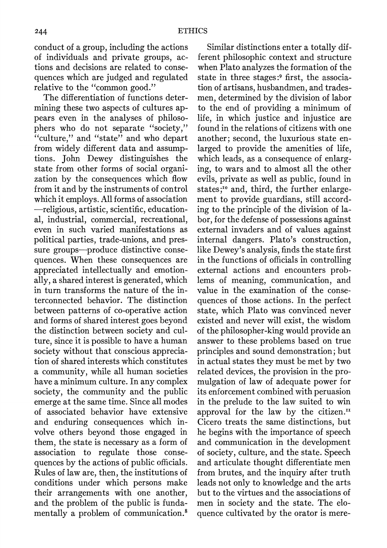**conduct of a group, including the actions of individuals and private groups, actions and decisions are related to consequences which are judged and regulated relative to the "common good."** 

**The differentiation of functions determining these two aspects of cultures appears even in the analyses of philosophers who do not separate "society," "culture," and "state" and who depart from widely different data and assumptions. John Dewey distinguishes the state from other forms of social organization by the consequences which flow from it and by the instruments of control which it employs. All forms of association -religious, artistic, scientific, educational, industrial, commercial, recreational, even in such varied manifestations as political parties, trade-unions, and pressure groups-produce distinctive consequences. When these consequences are appreciated intellectually and emotionally, a shared interest is generated, which in turn transforms the nature of the interconnected behavior. The distinction between patterns of co-operative action and forms of shared interest goes beyond the distinction between society and culture, since it is possible to have a human society without that conscious appreciation of shared interests which constitutes a community, while all human societies have a minimum culture. In any complex society, the community and the public emerge at the same time. Since all modes of associated behavior have extensive and enduring consequences which involve others beyond those engaged in them, the state is necessary as a form of association to regulate those consequences by the actions of public officials. Rules of law are, then, the institutions of conditions under which persons make their arrangements with one another, and the problem of the public is fundamentally a problem of communication.8** 

**Similar distinctions enter a totally different philosophic context and structure when Plato analyzes the formation of the state in three stages:9 first, the association of artisans, husbandmen, and tradesmen, determined by the division of labor to the end of providing a minimum of life, in which justice and injustice are found in the relations of citizens with one another; second, the luxurious state enlarged to provide the amenities of life, which leads, as a consequence of enlarging, to wars and to almost all the other evils, private as well as public, found in**  states;<sup>10</sup> and, third, the further enlarge**ment to provide guardians, still according to the principle of the division of labor, for the defense of possessions against external invaders and of values against internal dangers. Plato's construction, like Dewey's analysis, finds the state first in the functions of officials in controlling external actions and encounters problems of meaning, communication, and value in the examination of the consequences of those actions. In the perfect state, which Plato was convinced never existed and never will exist, the wisdom of the philosopher-king would provide an answer to these problems based on true principles and sound demonstration; but in actual states they must be met by two related devices, the provision in the promulgation of law of adequate power for its enforcement combined with peruasion in the prelude to the law suited to win approval for the law by the citizen.": Cicero treats the same distinctions, but he begins with the importance of speech and communication in the development of society, culture, and the state. Speech and articulate thought differentiate men from brutes, and the inquiry after truth leads not only to knowledge and the arts but to the virtues and the associations of men in society and the state. The eloquence cultivated by the orator is mere-**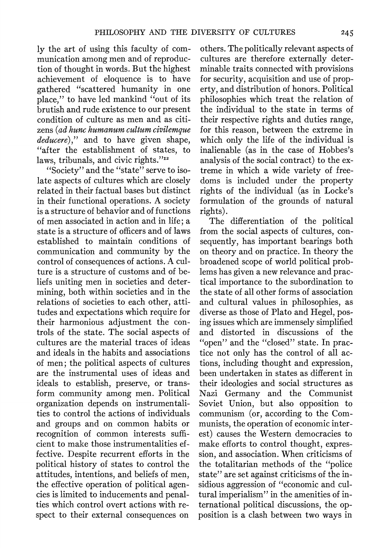**ly the art of using this faculty of communication among men and of reproduction of thought in words. But the highest achievement of eloquence is to have gathered "scattered humanity in one place," to have led mankind "out of its brutish and rude existence to our present condition of culture as men and as citizens (ad hunc humanum cultum civilemque deducere)," and to have given shape, "after the establishment of states, to**  laws, tribunals, and civic rights."<sup>12</sup>

**"Society" and the "state" serve to isolate aspects of cultures which are closely related in their factual bases but distinct in their functional operations. A society is a structure of behavior and of functions of men associated in action and in life; a state is a structure of officers and of laws established to maintain conditions of communication and community by the control of consequences of actions. A culture is a structure of customs and of beliefs uniting men in societies and determining, both within societies and in the relations of societies to each other, attitudes and expectations which require for their harmonious adjustment the controls of the state. The social aspects of cultures are the material traces of ideas and ideals in the habits and associations of men; the political aspects of cultures are the instrumental uses of ideas and ideals to establish, preserve, or transform community among men. Political organization depends on instrumentalities to control the actions of individuals and groups and on common habits or recognition of common interests sufficient to make those instrumentalities effective. Despite recurrent efforts in the political history of states to control the attitudes, intentions, and beliefs of men, the effective operation of political agencies is limited to inducements and penalties which control overt actions with respect to their external consequences on** 

**others. The politically relevant aspects of cultures are therefore externally determinable traits connected with provisions for security, acquisition and use of property, and distribution of honors. Political philosophies which treat the relation of the individual to the state in terms of their respective rights and duties range, for this reason, between the extreme in which only the life of the individual is inalienable (as in the case of Hobbes's analysis of the social contract) to the extreme in which a wide variety of freedoms is included under the property rights of the individual (as in Locke's formulation of the grounds of natural rights).** 

**The differentiation of the political from the social aspects of cultures, consequently, has important bearings both on theory and on practice. In theory the broadened scope of world political problems has given a new relevance and practical importance to the subordination to the state of all other forms of association and cultural values in philosophies, as diverse as those of Plato and Hegel, posing issues which are immensely simplified and distorted in discussions of the "open" and the "closed" state. In practice not only has the control of all actions, including thought and expression, been undertaken in states as different in their ideologies and social structures as Nazi Germany and the Communist Soviet Union, but also opposition to communism (or, according to the Communists, the operation of economic interest) causes the Western democracies to make efforts to control thought, expression, and association. When criticisms of the totalitarian methods of the "police state" are set against criticisms of the insidious aggression of "economic and cultural imperialism" in the amenities of international political discussions, the opposition is a clash between two ways in**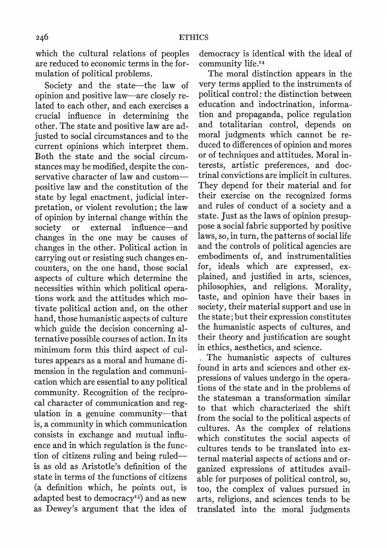**which the cultural relations of peoples are reduced to economic terms in the formulation of political problems.** 

Society and the state-the law of **opinion and positive law-are closely related to each other, and each exercises a crucial influence in determining the other. The state and positive law are adjusted to social circumstances and to the current opinions which interpret them. Both the state and the social circumstances may be modified, despite the conservative character of law and custompositive law and the constitution of the state by legal enactment, judicial interpretation, or violent revolution; the law of opinion by internal change within the society or external influence-and changes in the one may be causes of changes in the other. Political action in carrying out or resisting such changes encounters, on the one hand, those social aspects of culture which determine the necessities within which political operations work and the attitudes which motivate political action and, on the other hand, those humanistic aspects of culture**  which guide the decision concerning al**ternative possible courses of action. In its minimum form this third aspect of cultures appears as a moral and humane dimension in the regulation and communication which are essential to any political community. Recognition of the reciprocal character of communication and reg**ulation in a genuine community-that **is, a community in which communication consists in exchange and mutual influence and in which regulation is the function of citizens ruling and being ruledis as old as Aristotle's definition of the state in terms of the functions of citizens (a definition which, he points out, is adapted best to democracy'3) and as new as Dewey's argument that the idea of** 

**democracy is identical with the ideal of community life."4** 

**The moral distinction appears in the very terms applied to the instruments of political control: the distinction between education and indoctrination, information and propaganda, police regulation and totalitarian control, depends on moral judgments which cannot be reduced to differences of opinion and mores or of techniques and attitudes. Moral interests, artistic preferences, and doctrinal convictions are implicit in cultures. They depend for their material and for their exercise on the recognized forms and rules of conduct of a society and a state. Just as the laws of opinion presuppose a social fabric supported by positive laws, so, in turn, the patterns of social life and the controls of political agencies are embodiments of, and instrumentalities for, ideals which are expressed, explained, and justified in arts, sciences, philosophies, and religions. Morality, taste, and opinion have their bases in society, their material support and use in the state; but their expression constitutes the humanistic aspects of cultures, and their theory and justification are sought in ethics, aesthetics, and science.** 

**The humanistic aspects of cultures found in arts and sciences and other expressions of values undergo in the operations of the state and in the problems of the statesman a transformation similar to that which characterized the shift from the social to the political aspects of cultures. As the complex of relations which constitutes the social aspects of cultures tends to be translated into external material aspects of actions and organized expressions of attitudes available for purposes of political control, so, too, the complex of values pursued in arts, religions, and sciences tends to be translated into the moral judgments**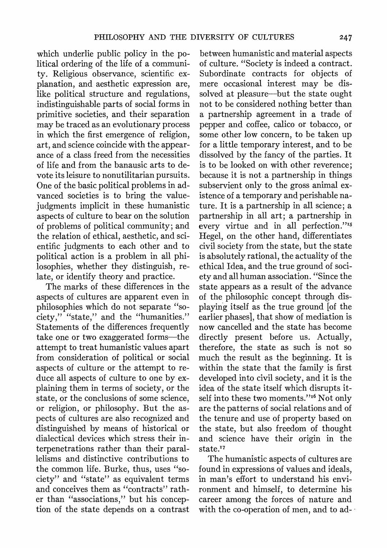**which underlie public policy in the political ordering of the life of a community. Religious observance, scientific explanation, and aesthetic expression are, like political structure and regulations, indistinguishable parts of social forms in primitive societies, and their separation may be traced as an evolutionary process in which the first emergence of religion, art, and science coincide with the appearance of a class freed from the necessities of life and from the banausic arts to devote its leisure to nonutilitarian pursuits. One of the basic political problems in advanced societies is to bring the valuejudgments implicit in these humanistic aspects of culture to bear on the solution of problems of political community; and the relation of ethical, aesthetic, and scientific judgments to each other and to political action is a problem in all philosophies, whether they distinguish, relate, or identify theory and practice.** 

**The marks of these differences in the aspects of cultures are apparent even in philosophies which do not separate "society," "state," and the "humanities." Statements of the differences frequently take one or two exaggerated forms-the attempt to treat humanistic values apart from consideration of political or social aspects of culture or the attempt to reduce all aspects of culture to one by explaining them in terms of society, or the state, or the conclusions of some science, or religion, or philosophy. But the aspects of cultures are also recognized and distinguished by means of historical or dialectical devices which stress their interpenetrations rather than their parallelisms and distinctive contributions to the common life. Burke, thus, uses "society" and "state" as equivalent terms and conceives them as "contracts" rather than "associations," but his conception of the state depends on a contrast** 

**between humanistic and material aspects of culture. "Society is indeed a contract. Subordinate contracts for objects of mere occasional interest may be dissolved at pleasure-but the state ought not to be considered nothing better than a partnership agreement in a trade of pepper and coffee, calico or tobacco, or some other low concern, to be taken up for a little temporary interest, and to be dissolved by the fancy of the parties. It is to be looked on with other reverence; because it is not a partnership in things subservient only to the gross animal existence of a temporary and perishable nature. It is a partnership in all science; a partnership in all art; a partnership in every virtue and in all perfection."'5 Hegel, on the other hand, differentiates civil society from the state, but the state is absolutely rational, the actuality of the ethical Idea, and the true ground of society and all human association. "Since the state appears as a result of the advance of the philosophic concept through displaying itself as the true ground [of the earlier phases, that show of mediation is now cancelled and the state has become directly present before us. Actually, therefore, the state as such is not so much the result as the beginning. It is within the state that the family is first developed into civil society, and it is the idea of the state itself which disrupts itself into these two moments."'6 Not only are the patterns of social relations and of the tenure and use of property based on the state, but also freedom of thought and science have their origin in the state.'7** 

**The humanistic aspects of cultures are found in expressions of values and ideals, in man's effort to understand his environment and himself, to determine his career among the forces of nature and with the co-operation of men, and to ad-**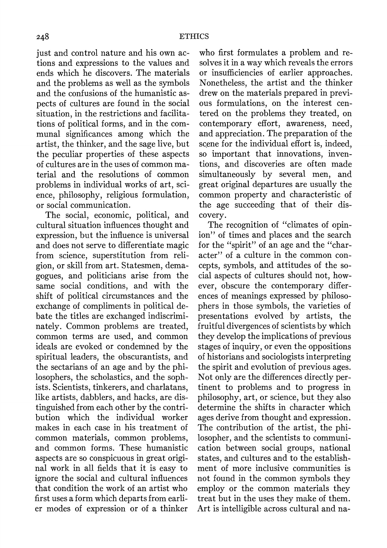**just and control nature and his own actions and expressions to the values and ends which he discovers. The materials and the problems as well as the symbols and the confusions of the humanistic aspects of cultures are found in the social situation, in the restrictions and facilitations of political forms, and in the communal significances among which the artist, the thinker, and the sage live, but the peculiar properties of these aspects of cultures are in the uses of common material and the resolutions of common problems in individual works of art, science, philosophy, religious formulation, or social communication.** 

**The social, economic, political, and cultural situation influences thought and expression, but the influence is universal and does not serve to differentiate magic from science, superstitution from religion, or skill from art. Statesmen, demagogues, and politicians arise from the same social conditions, and with the shift of political circumstances and the exchange of compliments in political debate the titles are exchanged indiscriminately. Common problems are treated, common terms are used, and common ideals are evoked or condemned by the spiritual leaders, the obscurantists, and the sectarians of an age and by the philosophers, the scholastics, and the sophists. Scientists, tinkerers, and charlatans, like artists, dabblers, and hacks, are distinguished from each other by the contribution which the individual worker makes in each case in his treatment of common materials, common problems, and common forms. These humanistic aspects are so conspicuous in great original work in all fields that it is easy to ignore the social and cultural influences that condition the work of an artist who first uses a form which departs from earlier modes of expression or of a thinker** 

**who first formulates a problem and resolves it in a way which reveals the errors or insufficiencies of earlier approaches. Nonetheless, the artist and the thinker drew on the materials prepared in previous formulations, on the interest centered on the problems they treated, on contemporary effort, awareness, need, and appreciation. The preparation of the scene for the individual effort is, indeed, so important that innovations, inventions, and discoveries are often made simultaneously by several men, and great original departures are usually the common property and characteristic of the age succeeding that of their discovery.** 

**The recognition of "climates of opinion" of times and places and the search for the "spirit" of an age and the "character" of a culture in the common concepts, symbols, and attitudes of the social aspects of cultures should not, however, obscure the contemporary differences of meanings expressed by philosophers in those symbols, the varieties of presentations evolved by artists, the fruitful divergences of scientists by which they develop the implications of previous stages of inquiry, or even the oppositions of historians and sociologists interpreting the spirit and evolution of previous ages. Not only are the differences directly pertinent to problems and to progress in philosophy, art, or science, but they also determine the shifts in character which ages derive from thought and expression. The contribution of the artist, the philosopher, and the scientists to communication between social groups, national states, and cultures and to the establishment of more inclusive communities is not found in the common symbols they employ or the common materials they treat but in the uses they make of them. Art is intelligible across cultural and na-**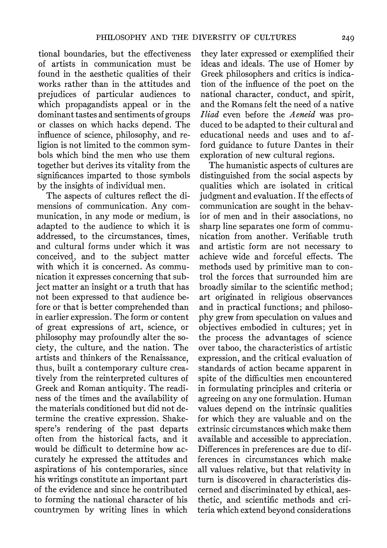**tional boundaries, but the effectiveness of artists in communication must be found in the aesthetic qualities of their works rather than in the attitudes and prejudices of particular audiences to which propagandists appeal or in the dominant tastes and sentiments of groups or classes on which hacks depend. The influence of science, philosophy, and religion is not limited to the common symbols which bind the men who use them together but derives its vitality from the significances imparted to those symbols by the insights of individual men.** 

**The aspects of cultures reflect the dimensions of communication. Any communication, in any mode or medium, is adapted to the audience to which it is addressed, to the circumstances, times, and cultural forms under which it was conceived, and to the subject matter with which it is concerned. As communication it expresses concerning that subject matter an insight or a truth that has not been expressed to that audience before or that is better comprehended than in earlier expression. The form or content of great expressions of art, science, or philosophy may profoundly alter the society, the culture, and the nation. The artists and thinkers of the Renaissance, thus, built a contemporary culture creatively from the reinterpreted cultures of Greek and Roman antiquity. The readiness of the times and the availability of the materials conditioned but did not determine the creative expression. Shakespere's rendering of the past departs often from the historical facts, and it would be difficult to determine how accurately he expressed the attitudes and aspirations of his contemporaries, since his writings constitute an important part of the evidence and since he contributed to forming the national character of his countrymen by writing lines in which** 

**they later expressed or exemplified their ideas and ideals. The use of Homer by Greek philosophers and critics is indication of the influence of the poet on the national character, conduct, and spirit, and the Romans felt the need of a native Iliad even before the Aeneid was produced to be adapted to their cultural and educational needs and uses and to afford guidance to future Dantes in their exploration of new cultural regions.** 

**The humanistic aspects of cultures are distinguished from the social aspects by qualities which are isolated in critical judgment and evaluation. If the effects of communication are sought in the behavior of men and in their associations, no sharp line separates one form of communication from another. Verifiable truth and artistic form are not necessary to achieve wide and forceful effects. The methods used by primitive man to control the forces that surrounded him are broadly similar to the scientific method; art originated in religious observances and in practical functions; and philosophy grew from speculation on values and objectives embodied in cultures; yet in the process the advantages of science over taboo, the characteristics of artistic expression, and the critical evaluation of standards of action became apparent in spite of the difficulties men encountered in formulating principles and criteria or agreeing on any one formulation. Human values depend on the intrinsic qualities for which they are valuable and on the extrinsic circumstances which make them available and accessible to appreciation. Differences in preferences are due to differences in circumstances which make all values relative, but that relativity in turn is discovered in characteristics discerned and discriminated by ethical, aesthetic, and scientific methods and criteria which extend beyond considerations**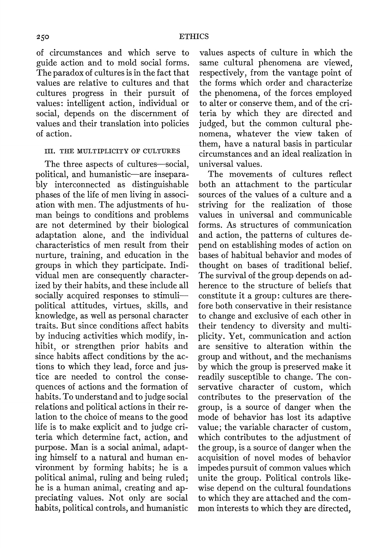**of circumstances and which serve to guide action and to mold social forms. The paradox of cultures is in the fact that values are relative to cultures and that cultures progress in their pursuit of values: intelligent action, individual or social, depends on the discernment of values and their translation into policies of action.** 

#### **III. THE MULTIPLICITY OF CULTURES**

**The three aspects of cultures-social, political, and humanistic-are inseparably interconnected as distinguishable phases of the life of men living in association with men. The adjustments of human beings to conditions and problems are not determined by their biological adaptation alone, and the individual characteristics of men result from their nurture, training, and education in the groups in which they participate. Individual men are consequently characterized by their habits, and these include all socially acquired responses to stimulipolitical attitudes, virtues, skills, and knowledge, as well as personal character traits. But since conditions affect habits by inducing activities which modify, inhibit, or strengthen prior habits and since habits affect conditions by the actions to which they lead, force and justice are needed to control the consequences of actions and the formation of habits. To understand and to judge social relations and political actions in their relation to the choice of means to the good life is to make explicit and to judge criteria which determine fact, action, and purpose. Man is a social animal, adapting himself to a natural and human environment by forming habits; he is a political animal, ruling and being ruled; he is a human animal, creating and appreciating values. Not only are social habits, political controls, and humanistic** 

**values aspects of culture in which the same cultural phenomena are viewed, respectively, from the vantage point of the forms which order and characterize the phenomena, of the forces employed to alter or conserve them, and of the criteria by which they are directed and judged, but the common cultural phenomena, whatever the view taken of them, have a natural basis in particular circumstances and an ideal realization in universal values.** 

**The movements of cultures reflect both an attachment to the particular sources of the values of a culture and a striving for the realization of those values in universal and communicable forms. As structures of communication and action, the patterns of cultures depend on establishing modes of action on bases of habitual behavior and modes of thought on bases of traditional belief. The survival of the group depends on adherence to the structure of beliefs that constitute it a group: cultures are therefore both conservative in their resistance to change and exclusive of each other in their tendency to diversity and multiplicity. Yet, communication and action are sensitive to alteration within the group and without, and the mechanisms by which the group is preserved make it readily susceptible to change. The conservative character of custom, which contributes to the preservation of the group, is a source of danger when the mode of behavior has lost its adaptive value; the variable character of custom, which contributes to the adjustment of the group, is a source of danger when the acquisition of novel modes of behavior impedes pursuit of common values which unite the group. Political controls likewise depend on the cultural foundations to which they are attached and the common interests to which they are directed,**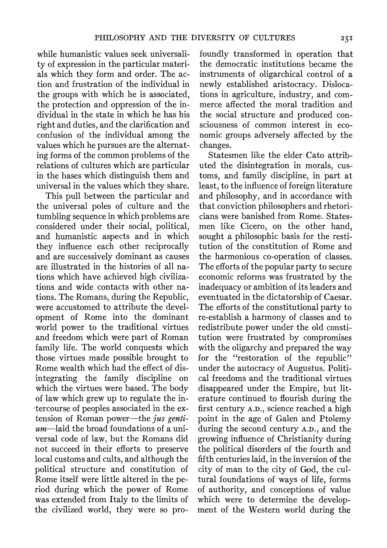**while humanistic values seek universality of expression in the particular materials which they form and order. The action and frustration of the individual in the groups with which he is associated, the protection and oppression of the individual in the state in which he has his right and duties, and the clarification and confusion of the individual among the values which he pursues are the alternating forms of the common problems of the relations of cultures which are particular in the bases which distinguish them and universal in the values which they share.** 

**This pull between the particular and the universal poles of culture and the tumbling sequence in which problems are considered under their social, political, and humanistic aspects and in which they influence each other reciprocally and are successively dominant as causes are illustrated in the histories of all nations which have achieved high civilizations and wide contacts with other nations. The Romans, during the Republic, were accustomed to attribute the development of Rome into the dominant world power to the traditional virtues and freedom which were part of Roman family life. The world conquests which those virtues made possible brought to Rome wealth which had the effect of disintegrating the family discipline on which the virtues were based. The body of law which grew up to regulate the in- -tercourse of peoples associated in the extension of Roman power-the jus gentium-laid the broad foundations of a universal code of law, but the Romans did not succeed in their efforts to preserve local customs and cults, and although the political structure and constitution of Rome itself were little altered in the period during which the power of Rome was extended from Italy to the limits of the civilized world, they were so pro-** **foundly transformed in operation that the democratic institutions became the instruments of oligarchical control of a newly established aristocracy. Dislocations in agriculture, industry, and commerce affected the moral tradition and the social structure and produced consciousness of common interest in economic groups adversely affected by the changes.** 

**Statesmen like the elder Cato attributed the disintegration in morals, customs, and family discipline, in part at least, to the influence of foreign literature and philosophy, and in accordance with that conviction philosophers and rhetoricians were banished from Rome. Statesmen like Cicero, on the other hand, sought a philosophic basis for the restitution of the constitution of Rome and the harmonious co-operation of classes. The efforts of the popular party to secure economic reforms was frustrated by the inadequacy or ambition of its leaders and eventuated in the dictatorship of Caesar. The efforts of the constitutional party to re-establish a harmony of classes and to redistribute power under the old constitution were frustrated by compromises with the oligarchy and prepared the way**  for the "restoration of the republic" **under the autocracy of Augustus. Political freedoms and the traditional virtues disappeared under the Empire, but literature continued to flourish during the first century A.D., science reached a high point in the age of Galen and Ptolemy during the second century A.D., and the growing influence of Christianity during the political disorders of the fourth and fifth centuries laid, in the inversion of the city of man to the city of God, the cultural foundations of ways of life, forms of authority, and conceptions of value which were to determine the development of the Western world during the**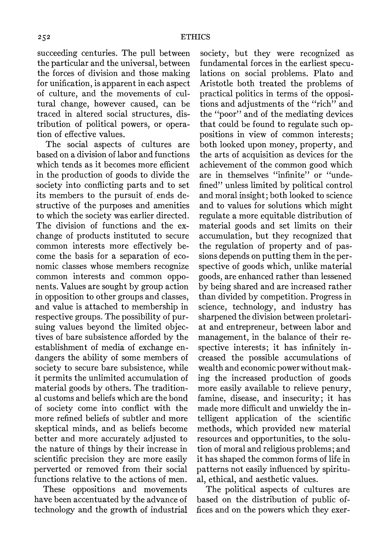**succeeding centuries. The pull between the particular and the universal, between the forces of division and those making for unification, is apparent in each aspect of culture, and the movements of cultural change, however caused, can be traced in altered social structures, distribution of political powers, or operation of effective values.** 

**The social aspects of cultures are based on a division of labor and functions which tends as it becomes more efficient in the production of goods to divide the society into conflicting parts and to set**  its members to the pursuit of ends de**structive of the purposes and amenities to which the society was earlier directed. The division of functions and the exchange of products instituted to secure common interests more effectively become the basis for a separation of economic classes whose members recognize common interests and common opponents. Values are sought by group action in opposition to other groups and classes, and value is attached to membership in respective groups. The possibility of pursuing values beyond the limited objectives of bare subsistence afforded by the establishment of media of exchange endangers the ability of some members of society to secure bare subsistence, while it permits the unlimited accumulation of material goods by others. The traditional customs and beliefs which are the bond of society come into conflict with the more refined beliefs of subtler and more skeptical minds, and as beliefs become better and more accurately adjusted to the nature of things by their increase in scientific precision they are more easily perverted or removed from their social functions relative to the actions of men.** 

**These oppositions and movements have been accentuated by the advance of technology and the growth of industrial** 

**society, but they were recognized as fundamental forces in the earliest speculations on social problems. Plato and Aristotle both treated the problems of practical politics in terms of the oppositions and adjustments of the "rich" and the "poor" and of the mediating devices that could be found to regulate such oppositions in view of common interests; both looked upon money, property, and the arts of acquisition as devices for the achievement of the common good which are in themselves "infinite" or "undefined" unless limited by political control and moral insight; both looked to science and to values for solutions which might regulate a more equitable distribution of material goods and set limits on their accumulation, but they recognized that the regulation of property and of passions depends on putting them in the perspective of goods which, unlike material goods, are enhanced rather than lessened by being shared and are increased rather than divided by competition. Progress in science, technology, and industry has sharpened the division between proletariat and entrepreneur, between labor and management, in the balance of their respective interests; it has infinitely increased the possible accumulations of wealth and economic power without making the increased production of goods more easily available to relieve penury, famine, disease, and insecurity; it has made more difficult and unwieldy the intelligent application of the scientific methods, which provided new material resources and opportunities, to the solution of moral and religious problems; and it has shaped the common forms of life in patterns not easily influenced by spiritual, ethical, and aesthetic values.** 

**The political aspects of cultures are based on the distribution of public offices and on the powers which they exer-**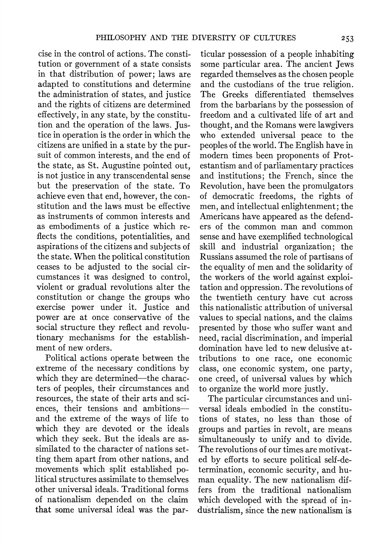**cise in the control of actions. The constitution or government of a state consists in that distribution of power; laws are adapted to constitutions and determine the administration of states, and justice and the rights of citizens are determined effectively, in any state, by the constitution and the operation of the laws. Justice in operation is the order in which the citizens are unified in a state by the pursuit of common interests, and the end of the state, as St. Augustine pointed out, is not justice in any transcendental sense but the preservation of the state. To achieve even that end, however, the constitution and the laws must be effective as instruments of common interests and as embodiments of a justice which reflects the conditions, potentialities, and aspirations of the citizens and subjects of the state. When the political constitution ceases to be adjusted to the social circumstances it was designed to control, violent or gradual revolutions alter the constitution or change the groups who exercise power under it. Justice and power are at once conservative of the social structure they reflect and revolutionary mechanisms for the establishment of new orders.** 

**Political actions operate between the extreme of the necessary conditions by**  which they are determined—the charac**ters of peoples, their circumstances and resources, the state of their arts and sciences, their tensions and ambitionsand the extreme of the ways of life to which they are devoted or the ideals which they seek. But the ideals are assimilated to the character of nations setting them apart from other nations, and movements which split established political structures assimilate to themselves other universal ideals. Traditional forms of nationalism depended on the claim that some universal ideal was the par-**

**ticular possession of a people inhabiting some particular area. The ancient Jews regarded themselves as the chosen people and the custodians of the true religion. The Greeks differentiated themselves from the barbarians by the possession of freedom and a cultivated life of art and thought, and the Romans were lawgivers who extended universal peace to the peoples of the world. The English have in modern times been proponents of Protestantism and of parliamentary practices and institutions; the French, since the Revolution, have been the promulgators of democratic freedoms, the rights of men, and intellectual enlightenment; the Americans have appeared as the defenders of the common man and common sense and have exemplified technological skill and industrial organization; the Russians assumed the role of partisans of the equality of men and the solidarity of the workers of the world against exploitation and oppression. The revolutions of the twentieth century have cut across this nationalistic attribution of universal values to special nations, and the claims presented by those who suffer want and need, racial discrimination, and imperial domination have led to new delusive attributions to one race, one economic class, one economic system, one party, one creed, of universal values by which to organize the world more justly.** 

**The particular circumstances and universal ideals embodied in the constitutions of states, no less than those of groups and parties in revolt, are means simultaneously to unify and to divide. The revolutions of our times are motivated by efforts to secure political self-determination, economic security, and human equality. The new nationalism differs from the traditional nationalism which developed with the spread of industrialism, since the new nationalism is**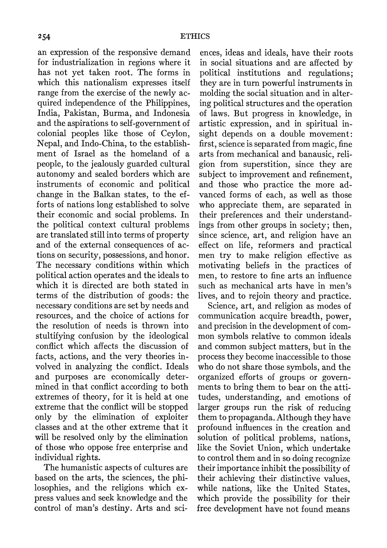**an expression of the responsive demand for industrialization in regions where it has not yet taken root. The forms in which this nationalism expresses itself range from the exercise of the newly acquired independence of the Philippines, India, Pakistan, Burma, and Indonesia and the aspirations to self-government of colonial peoples like those of Ceylon, Nepal, and Indo-China, to the establishment of Israel as the homeland of a people, to the jealously guarded cultural autonomy and sealed borders which are instruments of economic and political change in the Balkan states, to the efforts of nations long established to solve their economic and social problems. In the political context cultural problems are translated still into terms of property and of the external consequences of actions on security, possessions, and honor. The necessary conditions within which political action operates and the ideals to which it is directed are both stated in terms of the distribution of goods: the necessary conditions are set by needs and resources, and the choice of actions for the resolution of needs is thrown into stultifying confusion by the ideological conflict which affects the discussion of facts, actions, and the very theories involved in analyzing the conflict. Ideals and purposes are economically determined in that conflict according to both extremes of theory, for it is held at one extreme that the conflict will be stopped only by the elimination of exploiter classes and at the other extreme that it will be resolved only by the elimination of those who oppose free enterprise and individual rights.** 

**The humanistic aspects of cultures are based on the arts, the sciences, the philosophies, and the religions which express values and seek knowledge and the control of man's destiny. Arts and sci-**

**ences, ideas and ideals, have their roots in social situations and are affected by political institutions and regulations; they are in turn powerful instruments in molding the social situation and in altering political structures and the operation of laws. But progress in knowledge, in artistic expression, and in spiritual insight depends on a double movement: first, science is separated from magic, fine arts from mechanical and banausic, religion from superstition, since they are subject to improvement and refinement, and those who practice the more advanced forms of each, as well as those who appreciate them, are separated in their preferences and their understandings from other groups in society; then, since science, art, and religion have an effect on life, reformers and practical men try to make religion effective as motivating beliefs in the practices of men, to restore to fine arts an influence such as mechanical arts have in men's lives, and to rejoin theory and practice.** 

**Science, art, and religion as modes of communication acquire breadth, power, and precision in the development of common symbols relative to common ideals and common subject matters, but in the process they become inaccessible to those who do not share those symbols, and the organized efforts of groups or governments to bring them to bear on the attitudes, understanding, and emotions of larger groups run the risk of reducing them to propaganda. Although they have profound influences in the creation and solution of political problems, nations, like the Soviet Union, which undertake to control them and in so doing recognize their importance inhibit the possibility of their achieving their distinctive values, while nations, like the United States, which provide the possibility for their free development have not found means**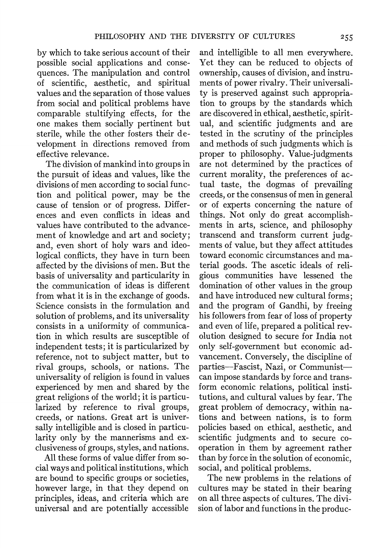**by which to take serious account of their possible social applications and consequences. The manipulation and control of scientific, aesthetic, and spiritual values and the separation of those values from social and political problems have comparable stultifying effects, for the one makes them socially pertinent but sterile, while the other fosters their development in directions removed from effective relevance.** 

**The division of mankind into groups in the pursuit of ideas and values, like the divisions of men according to social function and political power, may be the cause of tension or of progress. Differences and even conflicts in ideas and values have contributed to the advancement of knowledge and art and society; and, even short of holy wars and ideological conflicts, they have in turn been affected by the divisions of men. But the basis of universality and particularity in the communication of ideas is different from what it is in the exchange of goods. Science consists in the formulation and solution of problems, and its universality consists in a uniformity of communication in which results are susceptible of independent tests; it is particularized by reference, not to subject matter, but to rival groups, schools, or nations. The universality of religion is found in values experienced by men and shared by the great religions of the world; it is particularized by reference to rival groups, creeds, or nations. Great art is universally intelligible and is closed in particularity only by the mannerisms and exclusiveness of groups, styles, and nations.** 

**All these forms of value differ from social ways and political institutions, which are bound to specific groups or societies, however large, in that they depend on principles, ideas, and criteria which are universal and are potentially accessible** 

**and intelligible to all men everywhere. Yet they can be reduced to objects of ownership, causes of division, and instruments of power rivalry. Their universality is preserved against such appropriation to groups by the standards which are discovered in ethical, aesthetic, spiritual, and scientific judgments and are tested in the scrutiny of the principles and methods of such judgments which is proper to philosophy. Value-judgments are not determined by the practices of current morality, the preferences of actual taste, the dogmas of prevailing creeds, or the consensus of men in general or of experts concerning the nature of things. Not only do great accomplishments in arts, science, and philosophy transcend and transform current judgments of value, but they affect attitudes toward economic circumstances and material goods. The ascetic ideals of religious communities have lessened the domination of other values in the group and have introduced new cultural forms; and the program of Gandhi, by freeing his followers from fear of loss of property and even of life, prepared a political revolution designed to secure for India not only self-government but economic advancement. Conversely, the discipline of parties-Fascist, Nazi, or Communistcan impose standards by force and transform economic relations, political institutions, and cultural values by fear. The great problem of democracy, within nations and between nations, is to form policies based on ethical, aesthetic, and scientific judgments and to secure cooperation in them by agreement rather than by force in the solution of economic, social, and political problems.** 

**The new problems in the relations of cultures may be stated in their bearing on all three aspects of cultures. The division of labor and functions in the produc-**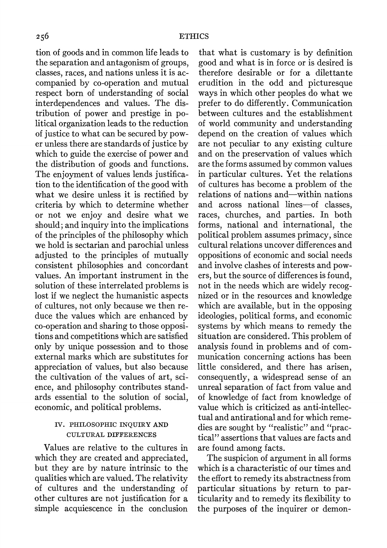**tion of goods and in common life leads to the separation and antagonism of groups, classes, races, and nations unless it is accompanied by co-operation and mutual respect born of understanding of social interdependences and values. The distribution of power and prestige in political organization leads to the reduction of justice to what can be secured by power unless there are standards of justice by which to guide the exercise of power and the distribution of goods and functions. The enjoyment of values lends justification to the identification of the good with what we desire unless it is rectified by criteria by which to determine whether or not we enjoy and desire what we should; and inquiry into the implications of the principles of the philosophy which we hold is sectarian and parochial unless adjusted to the principles of mutually consistent philosophies and concordant values. An important instrument in the solution of these interrelated problems is lost if we neglect the humanistic aspects of cultures, not only because we then reduce the values which are enhanced by co-operation and sharing to those oppositions and competitions which are satisfied only by unique possession and to those external marks which are substitutes for appreciation of values, but also because the cultivation of the values of art, science, and philosophy contributes standards essential to the solution of social, economic, and political problems.** 

#### **IV. PHILOSOPHIC INQUIRY AND CULTURAL DIFFERENCES**

**Values are relative to the cultures in which they are created and appreciated, but they are by nature intrinsic to the qualities which are valued. The relativity of cultures and the understanding of other cultures are not justification for a simple acquiescence in the conclusion** 

**that what is customary is by definition good and what is in force or is desired is therefore desirable or for a dilettante erudition in the odd and picturesque ways in which other peoples do what we prefer to do differently. Communication between cultures and the establishment of world community and understanding depend on the creation of values which are not peculiar to any existing culture and on the preservation of values which are the forms assumed by common values in particular cultures. Yet the relations of cultures has become a problem of the relations of nations and-within nations and across national lines-of classes, races, churches, and parties. In both forms, national and international, the political problem assumes primacy, since cultural relations uncover differences and oppositions of economic and social needs and involve clashes of interests and powers, but the source of differences is found, not in the needs which are widely recognized or in the resources and knowledge which are available, but in the opposing ideologies, political forms, and economic systems by which means to remedy the situation are considered. This problem of analysis found in problems and of communication concerning actions has been little considered, and there has arisen, consequently, a widespread sense of an unreal separation of fact from value and of knowledge of fact from knowledge of value which is criticized as anti-intellectual and antirational and for which remedies are sought by "realistic" and "practical" assertions that values are facts and are found among facts.** 

**The suspicion of argument in all forms which is a characteristic of our times and the effort to remedy its abstractness from particular situations by return to particularity and to remedy its flexibility to the purposes of the inquirer or demon-**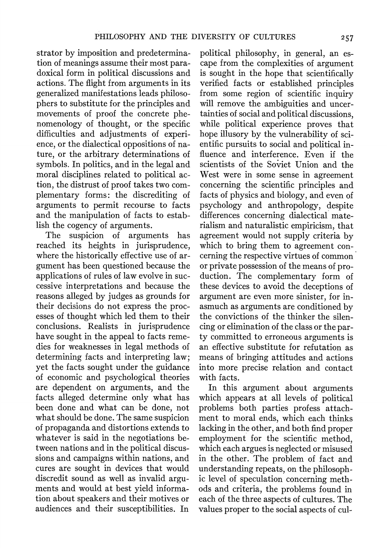**strator by imposition and predetermination of meanings assume their most paradoxical form in political discussions and actions. The flight from arguments in its generalized manifestations leads philosophers to substitute for the principles and movements of proof the concrete phenomenology of thought, or the specific difficulties and adjustments of experience, or the dialectical oppositions of nature, or the arbitrary determinations of symbols. In politics, and in the legal and moral disciplines related to political action, the distrust of proof takes two complementary forms: the discrediting of arguments to permit recourse to facts and the manipulation of facts to establish the cogency of arguments.** 

**The suspicion of arguments has reached its heights in jurisprudence, where the historically effective use of argument has been questioned because the applications of rules of law evolve in successive interpretations and because the reasons alleged by judges as grounds for their decisions do not express the processes of thought which led them to their conclusions. Realists in jurisprudence have sought in the appeal to facts remedies for weaknesses in legal methods of determining facts and interpreting law; yet the facts sought under the guidance of economic and psychological theories are dependent on arguments, and the facts alleged determine only what has been done and what can be done, not what should be done. The same suspicion of propaganda and distortions extends to whatever is said in the negotiations between nations and in the political discussions and campaigns within nations, and cures are sought in devices that would discredit sound as well as invalid arguments and would at best yield information about speakers and their motives or audiences and their susceptibilities. In** 

**political philosophy, in general, an escape from the complexities of argument is sought in the hope that scientifically verified facts or established principles from some region of scientific inquiry will remove the ambiguities and uncertainties of social and political discussions, while political experience proves that hope illusory by the vulnerability of scientific pursuits to social and political influence and interference. Even if the scientists of the Soviet Union and the West were in some sense in agreement concerning the scientific principles and facts of physics and biology, and even of psychology and anthropology, despite differences concerning dialectical materialism and naturalistic empiricism, that agreement would not supply criteria by which to bring them to agreement concerning the respective virtues of common or private possession of the means of production. The complementary form of these devices to avoid the deceptions of argument are even more sinister, for inasmuch as arguments are conditioned by the convictions of the thinker the silencing or elimination of the class or the party committed to erroneous arguments is an effective substitute for refutation as means of bringing attitudes and actions into more precise relation and contact with facts.** 

**In this argument about arguments which appears at all levels of political problems both parties profess attachment to moral ends, which each thinks lacking in the other, and both find proper employment for the scientific method, which each argues is neglected or misused in the other. The problem of fact and understanding repeats, on the philosophic level of speculation concerning methods and criteria, the problems found in each of the three aspects of cultures. The values proper to the social aspects of cul-**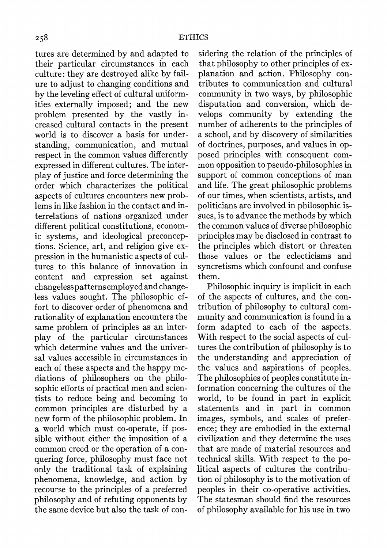**tures are determined by and adapted to their particular circumstances in each culture: they are destroyed alike by failure to adjust to changing conditions and by the leveling effect of cultural uniformities externally imposed; and the new problem presented by the vastly increased cultural contacts in the present world is to discover a basis for understanding, communication, and mutual respect in the common values differently expressed in different cultures. The interplay of justice and force determining the order which characterizes the political aspects of cultures encounters new problems in like fashion in the contact and interrelations of nations organized under different political constitutions, economic systems, and ideological preconceptions. Science, art, and religion give expression in the humanistic aspects of cultures to this balance of innovation in content and expression set against changeless patterns employed and changeless values sought. The philosophic effort to discover order of phenomena and rationality of explanation encounters the same problem of principles as an interplay of the particular circumstances which determine values and the universal values accessible in circumstances in each of these aspects and the happy mediations of philosophers on the philosophic efforts of practical men and scientists to reduce being and becoming to common principles are disturbed by a new form of the philosophic problem. In a world which must co-operate, if possible without either the imposition of a common creed or the operation of a conquering force, philosophy must face not only the traditional task of explaining phenomena, knowledge, and action by recourse to the principles of a preferred philosophy and of refuting opponents by the same device but also the task of con-**

**sidering the relation of the principles of that philosophy to other principles of explanation and action. Philosophy contributes to communication and cultural community in two ways, by philosophic disputation and conversion, which develops community by extending the number of adherents to the principles of a school, and by discovery of similarities of doctrines, purposes, and values in opposed principles with consequent common opposition to pseudo-philosophies in support of common conceptions of man and life. The great philosophic problems of our times, when scientists, artists, and politicians are involved in philosophic issues, is to advance the methods by which the common values of diverse philosophic principles may be disclosed in contrast to the principles which distort or threaten those values or the eclecticisms and syncretisms which confound and confuse them.** 

**Philosophic inquiry is implicit in each of the aspects of cultures, and the contribution of philosophy to cultural community and communication is found in a form adapted to each of the aspects. With respect to the social aspects of cultures the contribution of philosophy is to the understanding and appreciation of the values and aspirations of peoples. The philosophies of peoples constitute information concerning the cultures of the world, to be found in part in explicit statements and in part in common images, symbols, and scales of preference; they are embodied in the external civilization and they determine the uses that are made of material resources and technical skills. With respect to the political aspects of cultures the contribution of philosophy is to the motivation of peoples in their co-operative activities. The statesman should find the resources of philosophy available for his use in two**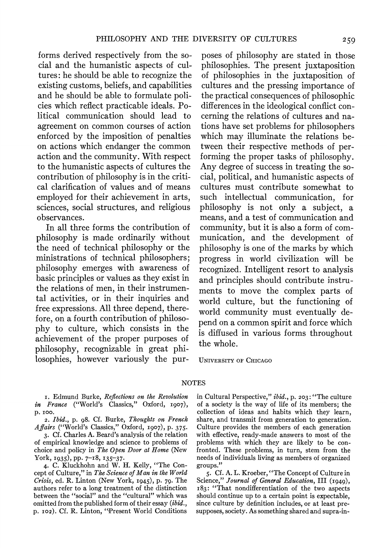**forms derived respectively from the social and the humanistic aspects of cultures: he should be able to recognize the existing customs, beliefs, and capabilities and he should be able to formulate policies which reflect practicable ideals. Political communication should lead to agreement on common courses of action enforced by the imposition of penalties on actions which endanger the common action and the community. With respect to the humanistic aspects of cultures the contribution of philosophy is in the critical clarification of values and of means employed for their achievement in arts, sciences, social structures, and religious observances.** 

**In all three forms the contribution of philosophy is made ordinarily without the need of technical philosophy or the ministrations of technical philosophers; philosophy emerges with awareness of basic principles or values as they exist in the relations of men, in their instrumental activities, or in their inquiries and free expressions. All three depend, therefore, on a fourth contribution of philosophy to culture, which consists in the achievement of the proper purposes of philosophy, recognizable in great philosophies, however variously the pur-**

**poses of philosophy are stated in those philosophies. The present juxtaposition of philosophies in the juxtaposition of cultures and the pressing importance of the practical consequences of philosophic differences in the ideological conflict concerning the relations of cultures and nations have set problems for philosophers which may illuminate the relations between their respective methods of performing the proper tasks of philosophy. Any degree of success in treating the social, political, and humanistic aspects of cultures must contribute somewhat to such intellectual communication, for philosophy is not only a subject, a means, and a test of communication and community, but it is also a form of communication, and the development of philosophy is one of the marks by which progress in world civilization will be recognized. Intelligent resort to analysis and principles should contribute instruments to move the complex parts of world culture, but the functioning of world community must eventually depend on a common spirit and force which is diffused in various forms throughout the whole.** 

**UNIVERSITY OF CHICAGO** 

**NOTES** 

**i. Edmund Burke, Reflections on the Revolution**  in France ("World's Classics," Oxford, 1907), **p. Ioo.** 

**2. Ibid., p. 98. Cf. Burke, Thoughts on French Affairs ("World's Classics," Oxford, I907), p. 375.** 

**3. Cf. Charles A. Beard's analysis of the relation of empirical knowledge and science to problems of choice and policy in The Open Door at Home (New York, I935), pp. 7-i8, I35-37-** 

**4. C. Kluckhohn and W. H. Kelly, "The Concept of Culture," in The Science of Man in the World Crisis, ed. R. Linton (New York, I945), p. 79. The authors refer to a long treatment of the distinction between the "social" and the "cultural" which was omitted from the published form of their essay (ibid., p. I02). Cf. R. Linton, "Present World Conditions** 

**in Cultural Perspective," ibid., p. 203: "The culture of a society is the way of life of its members; the collection of ideas and habits which they learn,**  share, and transmit from generation to generation. **Culture provides the members of each generation with effective, ready-made answers to most of the problems with which they are likely to be confronted. These problems, in turn, stem from the needs of individuals living as members of organized groups."** 

**5. Cf. A. L. Kroeber, "The Concept of Culture in**  Science," Journal of General Education, III (1949), **i83: "That nondifferentiation of the two aspects should continue up to a certain point is expectable, since culture by definition includes, or at least presupposes, society. As something shared and supra-in-**